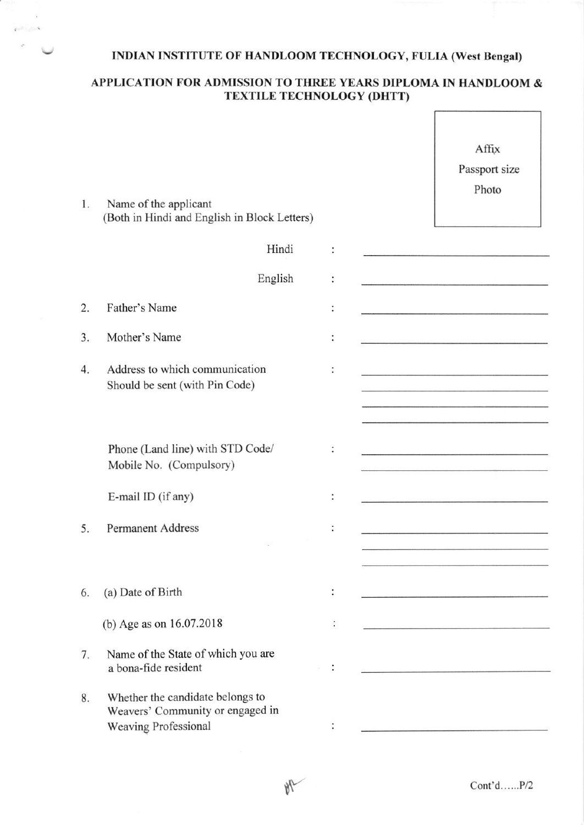## INDIAN INSTITUTE OF HANDLOOM TECHNOLOGY, FULIA (West Bengal)

## APPLICATION FOR ADMISSION TO THREE YEARS DIPLOMA IN HANDLOOM & TEXTILE TECHNOLOGY (DHTT)

 $\sqrt{ }$ 

٦

| 1. | Name of the applicant<br>(Both in Hindi and English in Block Letters)                        |                      | Affix<br>Passport size<br>Photo                                                                                                                                                                                                      |
|----|----------------------------------------------------------------------------------------------|----------------------|--------------------------------------------------------------------------------------------------------------------------------------------------------------------------------------------------------------------------------------|
|    | Hindi                                                                                        |                      |                                                                                                                                                                                                                                      |
|    | English                                                                                      | $\ddot{\phantom{0}}$ | <u> 1989 - Januar James, martin film ar yn y brenin y brenin y de gant y brenin y brenin y brenin y brenin y breni</u>                                                                                                               |
| 2. | Father's Name                                                                                |                      | the contract of the contract of the contract of the contract of the contract of                                                                                                                                                      |
| 3. | Mother's Name                                                                                | $\ddot{\ddot{\ }}$   |                                                                                                                                                                                                                                      |
| 4. | Address to which communication<br>Should be sent (with Pin Code)                             |                      |                                                                                                                                                                                                                                      |
|    |                                                                                              |                      |                                                                                                                                                                                                                                      |
|    | Phone (Land line) with STD Code/<br>Mobile No. (Compulsory)                                  |                      | <u> Antonio de la componenza del controla del componen</u>                                                                                                                                                                           |
|    | E-mail ID (if any)                                                                           |                      | <u> 1999 - An Albany Mariana and Anglick Story Anglick Story (1999)</u>                                                                                                                                                              |
| 5. | <b>Permanent Address</b>                                                                     |                      |                                                                                                                                                                                                                                      |
|    |                                                                                              |                      |                                                                                                                                                                                                                                      |
| 6. | (a) Date of Birth                                                                            |                      | <u> 1989 - Johann Harry Harry Harry Harry Harry Harry Harry Harry Harry Harry Harry Harry Harry Harry Harry Harry Harry Harry Harry Harry Harry Harry Harry Harry Harry Harry Harry Harry Harry Harry Harry Harry Harry Harry Ha</u> |
|    | (b) Age as on 16.07.2018                                                                     |                      |                                                                                                                                                                                                                                      |
| 7. | Name of the State of which you are<br>a bona-fide resident                                   |                      | the contract of the contract of the contract of                                                                                                                                                                                      |
| 8. | Whether the candidate belongs to<br>Weavers' Community or engaged in<br>Weaving Professional |                      |                                                                                                                                                                                                                                      |